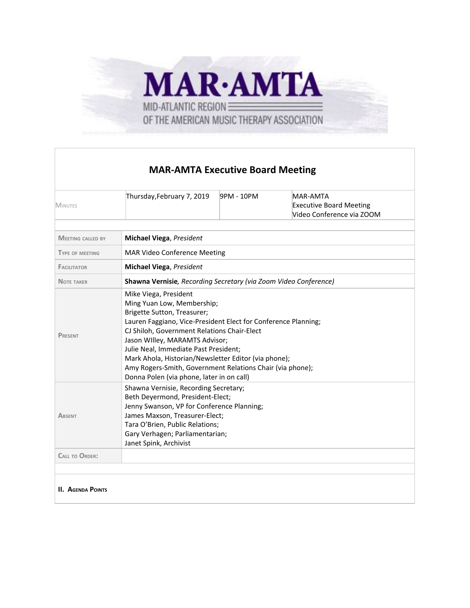

## **MAR-AMTA Executive Board Meeting**

| <b>MINUTES</b>           | Thursday, February 7, 2019                                                                                                                                                                                                                                                                                                                                                                                                                       | 9PM - 10PM | <b>MAR-AMTA</b><br><b>Executive Board Meeting</b><br>Video Conference via ZOOM |  |  |  |
|--------------------------|--------------------------------------------------------------------------------------------------------------------------------------------------------------------------------------------------------------------------------------------------------------------------------------------------------------------------------------------------------------------------------------------------------------------------------------------------|------------|--------------------------------------------------------------------------------|--|--|--|
|                          |                                                                                                                                                                                                                                                                                                                                                                                                                                                  |            |                                                                                |  |  |  |
| <b>MEETING CALLED BY</b> | <b>Michael Viega, President</b>                                                                                                                                                                                                                                                                                                                                                                                                                  |            |                                                                                |  |  |  |
| <b>TYPE OF MEETING</b>   | <b>MAR Video Conference Meeting</b>                                                                                                                                                                                                                                                                                                                                                                                                              |            |                                                                                |  |  |  |
| <b>FACILITATOR</b>       | <b>Michael Viega, President</b>                                                                                                                                                                                                                                                                                                                                                                                                                  |            |                                                                                |  |  |  |
| <b>NOTE TAKER</b>        | <b>Shawna Vernisie</b> , Recording Secretary (via Zoom Video Conference)                                                                                                                                                                                                                                                                                                                                                                         |            |                                                                                |  |  |  |
| PRESENT                  | Mike Viega, President<br>Ming Yuan Low, Membership;<br>Brigette Sutton, Treasurer;<br>Lauren Faggiano, Vice-President Elect for Conference Planning;<br>CJ Shiloh, Government Relations Chair-Elect<br>Jason Willey, MARAMTS Advisor;<br>Julie Neal, Immediate Past President;<br>Mark Ahola, Historian/Newsletter Editor (via phone);<br>Amy Rogers-Smith, Government Relations Chair (via phone);<br>Donna Polen (via phone, later in on call) |            |                                                                                |  |  |  |
| <b>ABSENT</b>            | Shawna Vernisie, Recording Secretary;<br>Beth Deyermond, President-Elect;<br>Jenny Swanson, VP for Conference Planning;<br>James Maxson, Treasurer-Elect;<br>Tara O'Brien, Public Relations;<br>Gary Verhagen; Parliamentarian;<br>Janet Spink, Archivist                                                                                                                                                                                        |            |                                                                                |  |  |  |
| <b>CALL TO ORDER:</b>    |                                                                                                                                                                                                                                                                                                                                                                                                                                                  |            |                                                                                |  |  |  |
|                          |                                                                                                                                                                                                                                                                                                                                                                                                                                                  |            |                                                                                |  |  |  |
| <b>II. AGENDA POINTS</b> |                                                                                                                                                                                                                                                                                                                                                                                                                                                  |            |                                                                                |  |  |  |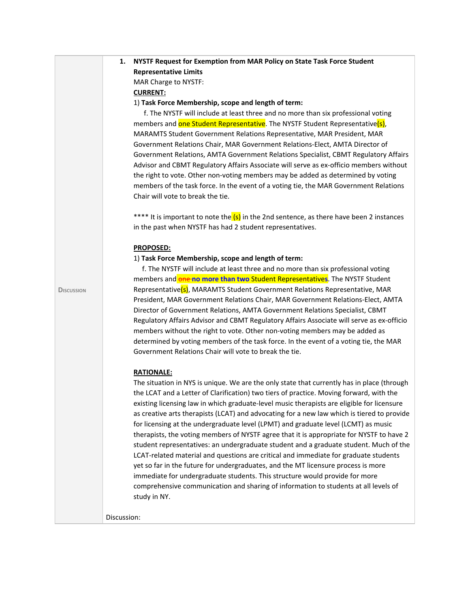|                   | 1.          | NYSTF Request for Exemption from MAR Policy on State Task Force Student                                                                                                       |
|-------------------|-------------|-------------------------------------------------------------------------------------------------------------------------------------------------------------------------------|
|                   |             | <b>Representative Limits</b>                                                                                                                                                  |
|                   |             | MAR Charge to NYSTF:                                                                                                                                                          |
|                   |             | <b>CURRENT:</b>                                                                                                                                                               |
|                   |             | 1) Task Force Membership, scope and length of term:                                                                                                                           |
|                   |             | f. The NYSTF will include at least three and no more than six professional voting                                                                                             |
|                   |             | members and one Student Representative. The NYSTF Student Representative(s),                                                                                                  |
|                   |             | MARAMTS Student Government Relations Representative, MAR President, MAR                                                                                                       |
|                   |             | Government Relations Chair, MAR Government Relations-Elect, AMTA Director of                                                                                                  |
|                   |             | Government Relations, AMTA Government Relations Specialist, CBMT Regulatory Affairs                                                                                           |
|                   |             | Advisor and CBMT Regulatory Affairs Associate will serve as ex-officio members without                                                                                        |
|                   |             | the right to vote. Other non-voting members may be added as determined by voting                                                                                              |
|                   |             | members of the task force. In the event of a voting tie, the MAR Government Relations<br>Chair will vote to break the tie.                                                    |
|                   |             |                                                                                                                                                                               |
|                   |             | **** It is important to note the (s) in the 2nd sentence, as there have been 2 instances                                                                                      |
|                   |             | in the past when NYSTF has had 2 student representatives.                                                                                                                     |
|                   |             | <b>PROPOSED:</b>                                                                                                                                                              |
|                   |             | 1) Task Force Membership, scope and length of term:                                                                                                                           |
|                   |             | f. The NYSTF will include at least three and no more than six professional voting                                                                                             |
|                   |             | members and one no more than two Student Representatives. The NYSTF Student                                                                                                   |
| <b>DISCUSSION</b> |             | Representative(s), MARAMTS Student Government Relations Representative, MAR                                                                                                   |
|                   |             | President, MAR Government Relations Chair, MAR Government Relations-Elect, AMTA                                                                                               |
|                   |             | Director of Government Relations, AMTA Government Relations Specialist, CBMT<br>Regulatory Affairs Advisor and CBMT Regulatory Affairs Associate will serve as ex-officio     |
|                   |             | members without the right to vote. Other non-voting members may be added as                                                                                                   |
|                   |             | determined by voting members of the task force. In the event of a voting tie, the MAR                                                                                         |
|                   |             | Government Relations Chair will vote to break the tie.                                                                                                                        |
|                   |             | <b>RATIONALE:</b>                                                                                                                                                             |
|                   |             | The situation in NYS is unique. We are the only state that currently has in place (through                                                                                    |
|                   |             | the LCAT and a Letter of Clarification) two tiers of practice. Moving forward, with the                                                                                       |
|                   |             | existing licensing law in which graduate-level music therapists are eligible for licensure                                                                                    |
|                   |             | as creative arts therapists (LCAT) and advocating for a new law which is tiered to provide                                                                                    |
|                   |             | for licensing at the undergraduate level (LPMT) and graduate level (LCMT) as music                                                                                            |
|                   |             | therapists, the voting members of NYSTF agree that it is appropriate for NYSTF to have 2                                                                                      |
|                   |             | student representatives: an undergraduate student and a graduate student. Much of the<br>LCAT-related material and questions are critical and immediate for graduate students |
|                   |             | yet so far in the future for undergraduates, and the MT licensure process is more                                                                                             |
|                   |             | immediate for undergraduate students. This structure would provide for more                                                                                                   |
|                   |             | comprehensive communication and sharing of information to students at all levels of                                                                                           |
|                   |             | study in NY.                                                                                                                                                                  |
|                   | Discussion: |                                                                                                                                                                               |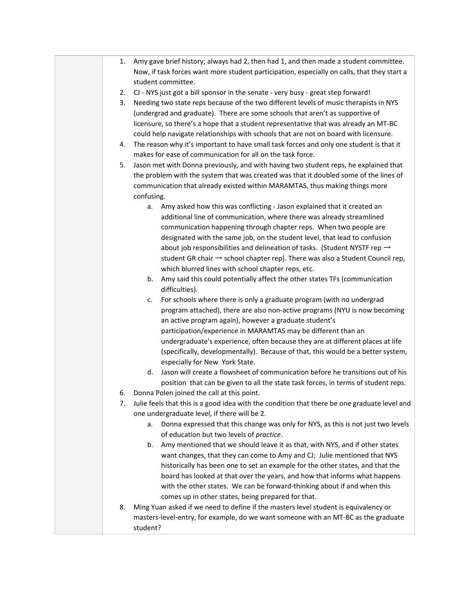- 1. Amy gave brief history; always had 2, then had 1, and then made a student committee. Now, if task forces want more student participation, especially on calls, that they start a student committee.
- 2. CJ NYS just got a bill sponsor in the senate very busy great step forward!
- 3. Needing two state reps because of the two different levels of music therapists in NYS (undergrad and graduate). There are some schools that aren't as supportive of licensure, so there's a hope that a student representative that was already an MT-BC could help navigate relationships with schools that are not on board with licensure.
- 4. The reason why it's important to have small task forces and only one student is that it makes for ease of communication for all on the task force.
- 5. Jason met with Donna previously, and with having two student reps, he explained that the problem with the system that was created was that it doubled some of the lines of communication that already existed within MARAMTAS, thus making things more confusing.
	- a. Amy asked how this was conflicting Jason explained that it created an additional line of communication, where there was already streamlined communication happening through chapter reps. When two people are designated with the same job, on the student level, that lead to confusion about job responsibilities and delineation of tasks. (Student NYSTF rep  $\rightarrow$ student GR chair  $\rightarrow$  school chapter rep). There was also a Student Council rep, which blurred lines with school chapter reps, etc.
	- b. Amy said this could potentially affect the other states TFs (communication difficulties).
	- c. For schools where there is only a graduate program (with no undergrad program attached), there are also non-active programs (NYU is now becoming an active program again), however a graduate student's participation/experience in MARAMTAS may be different than an undergraduate's experience, often because they are at different places at life (specifically, developmentally). Because of that, this would be a better system, especially for New York State.
	- d. Jason will create a flowsheet of communication before he transitions out of his position that can be given to all the state task forces, in terms of student reps.
- 6. Donna Polen joined the call at this point.
- 7. Julie feels that this is a good idea with the condition that there be one graduate level and one undergraduate level, if there will be 2.
	- a. Donna expressed that this change was only for NYS, as this is not just two levels of education but two levels of *practice*.
	- b. Amy mentioned that we should leave it as that, with NYS, and if other states want changes, that they can come to Amy and CJ; Julie mentioned that NYS historically has been one to set an example for the other states, and that the board has looked at that over the years, and how that informs what happens with the other states. We can be forward-thinking about if and when this comes up in other states, being prepared for that.
- 8. Ming Yuan asked if we need to define if the masters level student is equivalency or masters-level-entry, for example, do we want someone with an MT-BC as the graduate student?